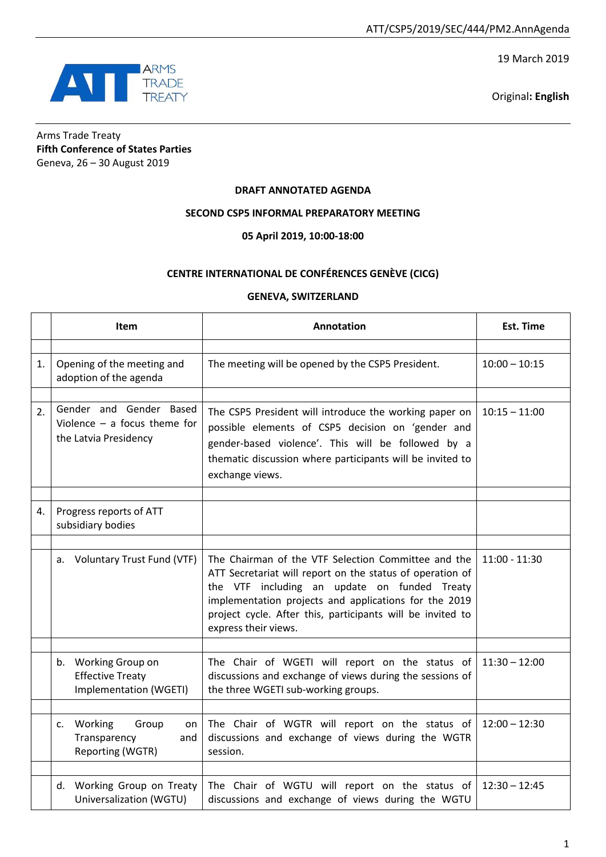19 March 2019

Original**: English**



Arms Trade Treaty **Fifth Conference of States Parties** Geneva, 26 – 30 August 2019

# **DRAFT ANNOTATED AGENDA**

## **SECOND CSP5 INFORMAL PREPARATORY MEETING**

#### **05 April 2019, 10:00-18:00**

## **CENTRE INTERNATIONAL DE CONFÉRENCES GENÈVE (CICG)**

#### **GENEVA, SWITZERLAND**

|    | <b>Item</b>                                                                        | Annotation                                                                                                                                                                                                                                                                                                      | <b>Est. Time</b> |
|----|------------------------------------------------------------------------------------|-----------------------------------------------------------------------------------------------------------------------------------------------------------------------------------------------------------------------------------------------------------------------------------------------------------------|------------------|
|    |                                                                                    |                                                                                                                                                                                                                                                                                                                 |                  |
| 1. | Opening of the meeting and<br>adoption of the agenda                               | The meeting will be opened by the CSP5 President.                                                                                                                                                                                                                                                               | $10:00 - 10:15$  |
|    |                                                                                    |                                                                                                                                                                                                                                                                                                                 |                  |
| 2. | Gender and Gender Based<br>Violence $-$ a focus theme for<br>the Latvia Presidency | The CSP5 President will introduce the working paper on<br>possible elements of CSP5 decision on 'gender and<br>gender-based violence'. This will be followed by a<br>thematic discussion where participants will be invited to<br>exchange views.                                                               | $10:15 - 11:00$  |
|    |                                                                                    |                                                                                                                                                                                                                                                                                                                 |                  |
| 4. | Progress reports of ATT<br>subsidiary bodies                                       |                                                                                                                                                                                                                                                                                                                 |                  |
|    |                                                                                    |                                                                                                                                                                                                                                                                                                                 |                  |
|    | a. Voluntary Trust Fund (VTF)                                                      | The Chairman of the VTF Selection Committee and the<br>ATT Secretariat will report on the status of operation of<br>the VTF including an update on funded Treaty<br>implementation projects and applications for the 2019<br>project cycle. After this, participants will be invited to<br>express their views. | $11:00 - 11:30$  |
|    |                                                                                    |                                                                                                                                                                                                                                                                                                                 |                  |
|    | b. Working Group on<br><b>Effective Treaty</b><br>Implementation (WGETI)           | The Chair of WGETI will report on the status of<br>discussions and exchange of views during the sessions of<br>the three WGETI sub-working groups.                                                                                                                                                              | $11:30 - 12:00$  |
|    |                                                                                    |                                                                                                                                                                                                                                                                                                                 |                  |
|    | c. Working<br>Group<br>on<br>Transparency<br>and<br>Reporting (WGTR)               | The Chair of WGTR will report on the status of<br>discussions and exchange of views during the WGTR<br>session.                                                                                                                                                                                                 | $12:00 - 12:30$  |
|    |                                                                                    |                                                                                                                                                                                                                                                                                                                 |                  |
|    | d. Working Group on Treaty<br>Universalization (WGTU)                              | The Chair of WGTU will report on the status of<br>discussions and exchange of views during the WGTU                                                                                                                                                                                                             | $12:30 - 12:45$  |